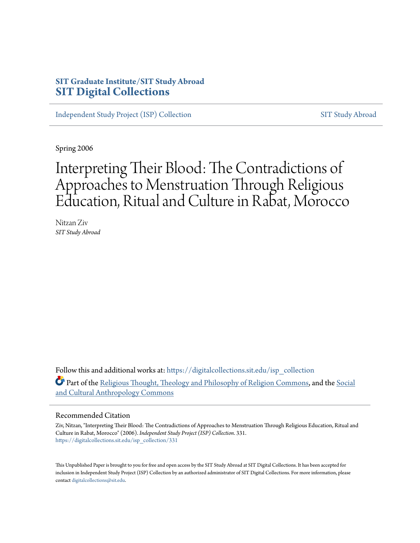#### **SIT Graduate Institute/SIT Study Abroad [SIT Digital Collections](https://digitalcollections.sit.edu?utm_source=digitalcollections.sit.edu%2Fisp_collection%2F331&utm_medium=PDF&utm_campaign=PDFCoverPages)**

[Independent Study Project \(ISP\) Collection](https://digitalcollections.sit.edu/isp_collection?utm_source=digitalcollections.sit.edu%2Fisp_collection%2F331&utm_medium=PDF&utm_campaign=PDFCoverPages) [SIT Study Abroad](https://digitalcollections.sit.edu/study_abroad?utm_source=digitalcollections.sit.edu%2Fisp_collection%2F331&utm_medium=PDF&utm_campaign=PDFCoverPages)

Spring 2006

# Interpreting Their Blood: The Contradictions of Approaches to Menstruation Through Religious Education, Ritual and Culture in Rabat, Morocco

Nitzan Ziv *SIT Study Abroad*

Follow this and additional works at: [https://digitalcollections.sit.edu/isp\\_collection](https://digitalcollections.sit.edu/isp_collection?utm_source=digitalcollections.sit.edu%2Fisp_collection%2F331&utm_medium=PDF&utm_campaign=PDFCoverPages) Part of the [Religious Thought, Theology and Philosophy of Religion Commons](http://network.bepress.com/hgg/discipline/544?utm_source=digitalcollections.sit.edu%2Fisp_collection%2F331&utm_medium=PDF&utm_campaign=PDFCoverPages), and the [Social](http://network.bepress.com/hgg/discipline/323?utm_source=digitalcollections.sit.edu%2Fisp_collection%2F331&utm_medium=PDF&utm_campaign=PDFCoverPages) [and Cultural Anthropology Commons](http://network.bepress.com/hgg/discipline/323?utm_source=digitalcollections.sit.edu%2Fisp_collection%2F331&utm_medium=PDF&utm_campaign=PDFCoverPages)

#### Recommended Citation

Ziv, Nitzan, "Interpreting Their Blood: The Contradictions of Approaches to Menstruation Through Religious Education, Ritual and Culture in Rabat, Morocco" (2006). *Independent Study Project (ISP) Collection*. 331. [https://digitalcollections.sit.edu/isp\\_collection/331](https://digitalcollections.sit.edu/isp_collection/331?utm_source=digitalcollections.sit.edu%2Fisp_collection%2F331&utm_medium=PDF&utm_campaign=PDFCoverPages)

This Unpublished Paper is brought to you for free and open access by the SIT Study Abroad at SIT Digital Collections. It has been accepted for inclusion in Independent Study Project (ISP) Collection by an authorized administrator of SIT Digital Collections. For more information, please contact [digitalcollections@sit.edu](mailto:digitalcollections@sit.edu).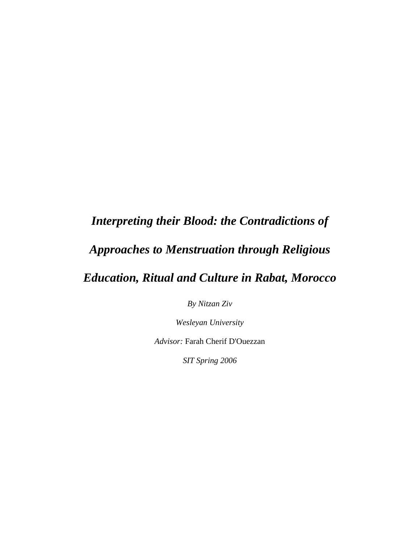## *Interpreting their Blood: the Contradictions of*

## *Approaches to Menstruation through Religious*

## *Education, Ritual and Culture in Rabat, Morocco*

*By Nitzan Ziv* 

*Wesleyan University* 

*Advisor:* Farah Cherif D'Ouezzan

*SIT Spring 2006*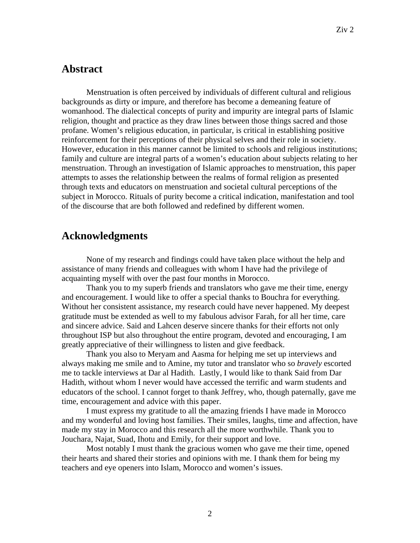#### **Abstract**

Menstruation is often perceived by individuals of different cultural and religious backgrounds as dirty or impure, and therefore has become a demeaning feature of womanhood. The dialectical concepts of purity and impurity are integral parts of Islamic religion, thought and practice as they draw lines between those things sacred and those profane. Women's religious education, in particular, is critical in establishing positive reinforcement for their perceptions of their physical selves and their role in society. However, education in this manner cannot be limited to schools and religious institutions; family and culture are integral parts of a women's education about subjects relating to her menstruation. Through an investigation of Islamic approaches to menstruation, this paper attempts to asses the relationship between the realms of formal religion as presented through texts and educators on menstruation and societal cultural perceptions of the subject in Morocco. Rituals of purity become a critical indication, manifestation and tool of the discourse that are both followed and redefined by different women.

#### **Acknowledgments**

None of my research and findings could have taken place without the help and assistance of many friends and colleagues with whom I have had the privilege of acquainting myself with over the past four months in Morocco.

Thank you to my superb friends and translators who gave me their time, energy and encouragement. I would like to offer a special thanks to Bouchra for everything. Without her consistent assistance, my research could have never happened. My deepest gratitude must be extended as well to my fabulous advisor Farah, for all her time, care and sincere advice. Said and Lahcen deserve sincere thanks for their efforts not only throughout ISP but also throughout the entire program, devoted and encouraging, I am greatly appreciative of their willingness to listen and give feedback.

Thank you also to Meryam and Aasma for helping me set up interviews and always making me smile and to Amine, my tutor and translator who so *bravely* escorted me to tackle interviews at Dar al Hadith. Lastly, I would like to thank Said from Dar Hadith, without whom I never would have accessed the terrific and warm students and educators of the school. I cannot forget to thank Jeffrey, who, though paternally, gave me time, encouragement and advice with this paper.

I must express my gratitude to all the amazing friends I have made in Morocco and my wonderful and loving host families. Their smiles, laughs, time and affection, have made my stay in Morocco and this research all the more worthwhile. Thank you to Jouchara, Najat, Suad, Ihotu and Emily, for their support and love.

Most notably I must thank the gracious women who gave me their time, opened their hearts and shared their stories and opinions with me. I thank them for being my teachers and eye openers into Islam, Morocco and women's issues.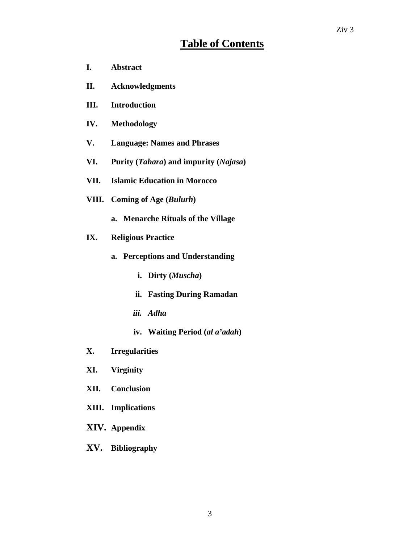## **Table of Contents**

- **I. Abstract**
- **II. Acknowledgments**
- **III. Introduction**
- **IV. Methodology**
- **V. Language: Names and Phrases**
- **VI. Purity (***Tahara***) and impurity (***Najasa***)**
- **VII. Islamic Education in Morocco**
- **VIII. Coming of Age (***Bulurh***)** 
	- **a. Menarche Rituals of the Village**
- **IX. Religious Practice** 
	- **a. Perceptions and Understanding** 
		- **i. Dirty (***Muscha***)**
		- **ii. Fasting During Ramadan**
		- *iii. Adha*
		- **iv. Waiting Period (***al a'adah***)**
- **X. Irregularities**
- **XI. Virginity**
- **XII. Conclusion**
- **XIII. Implications**
- **XIV. Appendix**
- **XV. Bibliography**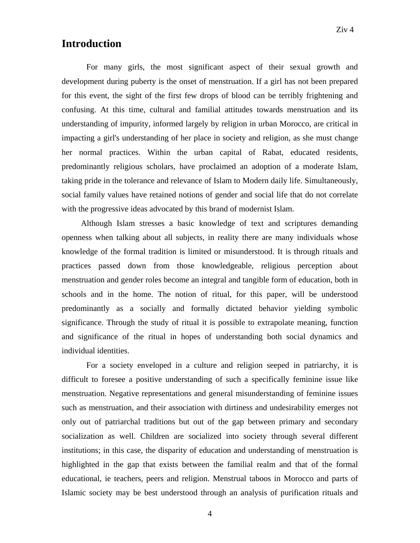### **Introduction**

For many girls, the most significant aspect of their sexual growth and development during puberty is the onset of menstruation. If a girl has not been prepared for this event, the sight of the first few drops of blood can be terribly frightening and confusing. At this time, cultural and familial attitudes towards menstruation and its understanding of impurity, informed largely by religion in urban Morocco, are critical in impacting a girl's understanding of her place in society and religion, as she must change her normal practices. Within the urban capital of Rabat, educated residents, predominantly religious scholars, have proclaimed an adoption of a moderate Islam, taking pride in the tolerance and relevance of Islam to Modern daily life. Simultaneously, social family values have retained notions of gender and social life that do not correlate with the progressive ideas advocated by this brand of modernist Islam.

 Although Islam stresses a basic knowledge of text and scriptures demanding openness when talking about all subjects, in reality there are many individuals whose knowledge of the formal tradition is limited or misunderstood. It is through rituals and practices passed down from those knowledgeable, religious perception about menstruation and gender roles become an integral and tangible form of education, both in schools and in the home. The notion of ritual, for this paper, will be understood predominantly as a socially and formally dictated behavior yielding symbolic significance. Through the study of ritual it is possible to extrapolate meaning, function and significance of the ritual in hopes of understanding both social dynamics and individual identities.

For a society enveloped in a culture and religion seeped in patriarchy, it is difficult to foresee a positive understanding of such a specifically feminine issue like menstruation. Negative representations and general misunderstanding of feminine issues such as menstruation, and their association with dirtiness and undesirability emerges not only out of patriarchal traditions but out of the gap between primary and secondary socialization as well. Children are socialized into society through several different institutions; in this case, the disparity of education and understanding of menstruation is highlighted in the gap that exists between the familial realm and that of the formal educational, ie teachers, peers and religion. Menstrual taboos in Morocco and parts of Islamic society may be best understood through an analysis of purification rituals and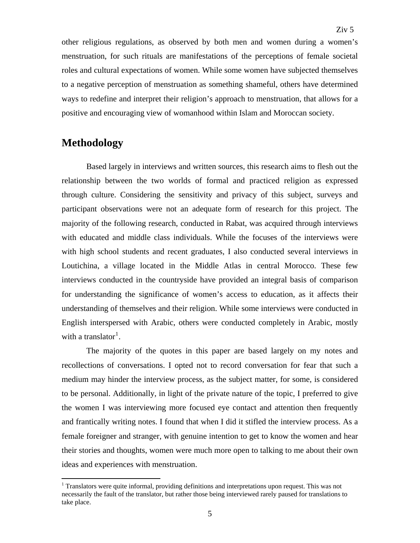other religious regulations, as observed by both men and women during a women's menstruation, for such rituals are manifestations of the perceptions of female societal roles and cultural expectations of women. While some women have subjected themselves to a negative perception of menstruation as something shameful, others have determined ways to redefine and interpret their religion's approach to menstruation, that allows for a positive and encouraging view of womanhood within Islam and Moroccan society.

### **Methodology**

 $\overline{a}$ 

 Based largely in interviews and written sources, this research aims to flesh out the relationship between the two worlds of formal and practiced religion as expressed through culture. Considering the sensitivity and privacy of this subject, surveys and participant observations were not an adequate form of research for this project. The majority of the following research, conducted in Rabat, was acquired through interviews with educated and middle class individuals. While the focuses of the interviews were with high school students and recent graduates, I also conducted several interviews in Loutichina, a village located in the Middle Atlas in central Morocco. These few interviews conducted in the countryside have provided an integral basis of comparison for understanding the significance of women's access to education, as it affects their understanding of themselves and their religion. While some interviews were conducted in English interspersed with Arabic, others were conducted completely in Arabic, mostly with a translator<sup>[1](#page-5-0)</sup>.

The majority of the quotes in this paper are based largely on my notes and recollections of conversations. I opted not to record conversation for fear that such a medium may hinder the interview process, as the subject matter, for some, is considered to be personal. Additionally, in light of the private nature of the topic, I preferred to give the women I was interviewing more focused eye contact and attention then frequently and frantically writing notes. I found that when I did it stifled the interview process. As a female foreigner and stranger, with genuine intention to get to know the women and hear their stories and thoughts, women were much more open to talking to me about their own ideas and experiences with menstruation.

<span id="page-5-0"></span><sup>&</sup>lt;sup>1</sup> Translators were quite informal, providing definitions and interpretations upon request. This was not necessarily the fault of the translator, but rather those being interviewed rarely paused for translations to take place.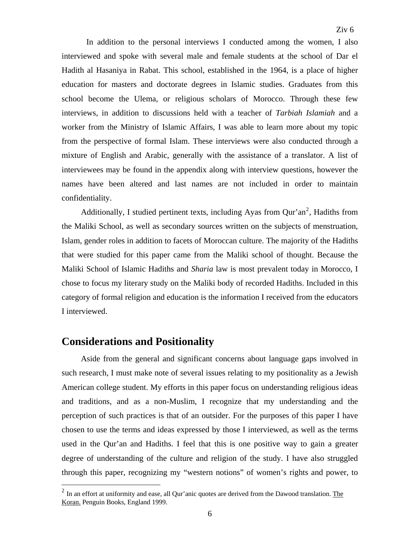In addition to the personal interviews I conducted among the women, I also interviewed and spoke with several male and female students at the school of Dar el Hadith al Hasaniya in Rabat. This school, established in the 1964, is a place of higher education for masters and doctorate degrees in Islamic studies. Graduates from this school become the Ulema, or religious scholars of Morocco. Through these few interviews, in addition to discussions held with a teacher of *Tarbiah Islamiah* and a worker from the Ministry of Islamic Affairs, I was able to learn more about my topic from the perspective of formal Islam. These interviews were also conducted through a mixture of English and Arabic, generally with the assistance of a translator. A list of interviewees may be found in the appendix along with interview questions, however the names have been altered and last names are not included in order to maintain confidentiality.

Additionally, I studied pertinent texts, including Ayas from Qur'an<sup>[2](#page-6-0)</sup>, Hadiths from the Maliki School, as well as secondary sources written on the subjects of menstruation, Islam, gender roles in addition to facets of Moroccan culture. The majority of the Hadiths that were studied for this paper came from the Maliki school of thought. Because the Maliki School of Islamic Hadiths and *Sharia* law is most prevalent today in Morocco, I chose to focus my literary study on the Maliki body of recorded Hadiths. Included in this category of formal religion and education is the information I received from the educators I interviewed.

#### **Considerations and Positionality**

 $\overline{a}$ 

 Aside from the general and significant concerns about language gaps involved in such research, I must make note of several issues relating to my positionality as a Jewish American college student. My efforts in this paper focus on understanding religious ideas and traditions, and as a non-Muslim, I recognize that my understanding and the perception of such practices is that of an outsider. For the purposes of this paper I have chosen to use the terms and ideas expressed by those I interviewed, as well as the terms used in the Qur'an and Hadiths. I feel that this is one positive way to gain a greater degree of understanding of the culture and religion of the study. I have also struggled through this paper, recognizing my "western notions" of women's rights and power, to

<span id="page-6-0"></span> $<sup>2</sup>$  In an effort at uniformity and ease, all Qur'anic quotes are derived from the Dawood translation. The</sup> Koran. Penguin Books, England 1999.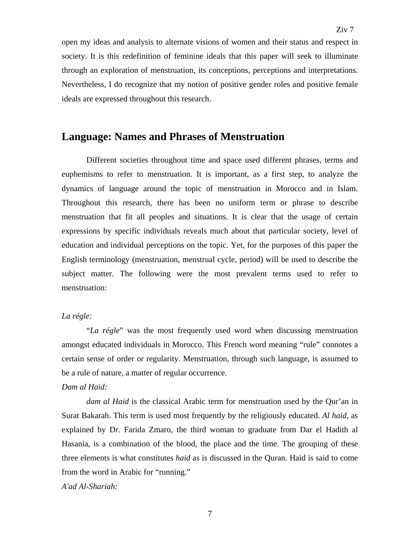open my ideas and analysis to alternate visions of women and their status and respect in society. It is this redefinition of feminine ideals that this paper will seek to illuminate through an exploration of menstruation, its conceptions, perceptions and interpretations. Nevertheless, I do recognize that my notion of positive gender roles and positive female ideals are expressed throughout this research.

### **Language: Names and Phrases of Menstruation**

 Different societies throughout time and space used different phrases, terms and euphemisms to refer to menstruation. It is important, as a first step, to analyze the dynamics of language around the topic of menstruation in Morocco and in Islam. Throughout this research, there has been no uniform term or phrase to describe menstruation that fit all peoples and situations. It is clear that the usage of certain expressions by specific individuals reveals much about that particular society, level of education and individual perceptions on the topic. Yet, for the purposes of this paper the English terminology (menstruation, menstrual cycle, period) will be used to describe the subject matter. The following were the most prevalent terms used to refer to menstruation:

#### *La régle:*

"*La régle*" was the most frequently used word when discussing menstruation amongst educated individuals in Morocco. This French word meaning "rule" connotes a certain sense of order or regularity. Menstruation, through such language, is assumed to be a rule of nature, a matter of regular occurrence.

#### *Dam al Haid:*

*dam al Haid* is the classical Arabic term for menstruation used by the Qur'an in Surat Bakarah. This term is used most frequently by the religiously educated. *Al haid*, as explained by Dr. Farida Zmaro, the third woman to graduate from Dar el Hadith al Hasania, is a combination of the blood, the place and the time. The grouping of these three elements is what constitutes *haid* as is discussed in the Quran. Haid is said to come from the word in Arabic for "running."

*A'ad Al-Shariah:*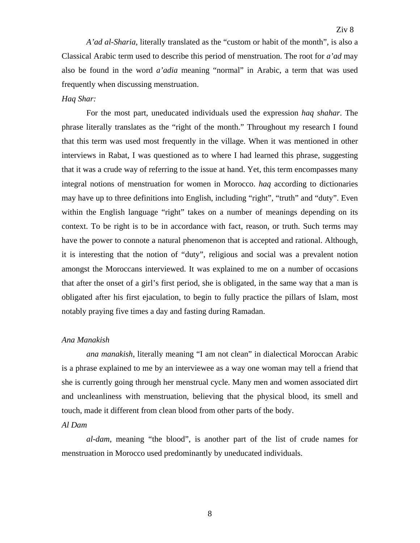*A'ad al-Sharia*, literally translated as the "custom or habit of the month", is also a Classical Arabic term used to describe this period of menstruation. The root for *a'ad* may also be found in the word *a'adia* meaning "normal" in Arabic, a term that was used frequently when discussing menstruation.

#### *Haq Shar:*

For the most part, uneducated individuals used the expression *haq shahar*. The phrase literally translates as the "right of the month." Throughout my research I found that this term was used most frequently in the village. When it was mentioned in other interviews in Rabat, I was questioned as to where I had learned this phrase, suggesting that it was a crude way of referring to the issue at hand. Yet, this term encompasses many integral notions of menstruation for women in Morocco. *haq* according to dictionaries may have up to three definitions into English, including "right", "truth" and "duty". Even within the English language "right" takes on a number of meanings depending on its context. To be right is to be in accordance with fact, reason, or truth. Such terms may have the power to connote a natural phenomenon that is accepted and rational. Although, it is interesting that the notion of "duty", religious and social was a prevalent notion amongst the Moroccans interviewed. It was explained to me on a number of occasions that after the onset of a girl's first period, she is obligated, in the same way that a man is obligated after his first ejaculation, to begin to fully practice the pillars of Islam, most notably praying five times a day and fasting during Ramadan.

#### *Ana Manakish*

*ana manakish*, literally meaning "I am not clean" in dialectical Moroccan Arabic is a phrase explained to me by an interviewee as a way one woman may tell a friend that she is currently going through her menstrual cycle. Many men and women associated dirt and uncleanliness with menstruation, believing that the physical blood, its smell and touch, made it different from clean blood from other parts of the body.

#### *Al Dam*

*al-dam*, meaning "the blood", is another part of the list of crude names for menstruation in Morocco used predominantly by uneducated individuals.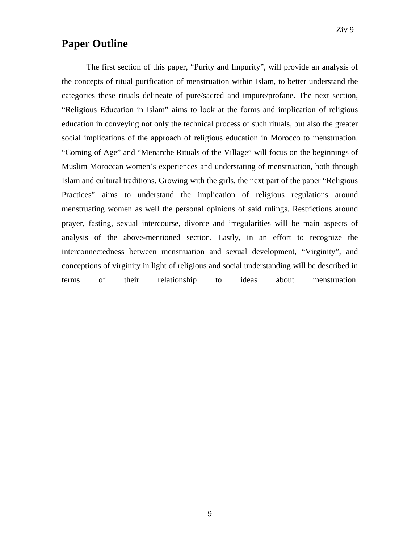### **Paper Outline**

The first section of this paper, "Purity and Impurity", will provide an analysis of the concepts of ritual purification of menstruation within Islam, to better understand the categories these rituals delineate of pure/sacred and impure/profane. The next section, "Religious Education in Islam" aims to look at the forms and implication of religious education in conveying not only the technical process of such rituals, but also the greater social implications of the approach of religious education in Morocco to menstruation. "Coming of Age" and "Menarche Rituals of the Village" will focus on the beginnings of Muslim Moroccan women's experiences and understating of menstruation, both through Islam and cultural traditions. Growing with the girls, the next part of the paper "Religious Practices" aims to understand the implication of religious regulations around menstruating women as well the personal opinions of said rulings. Restrictions around prayer, fasting, sexual intercourse, divorce and irregularities will be main aspects of analysis of the above-mentioned section. Lastly, in an effort to recognize the interconnectedness between menstruation and sexual development, "Virginity", and conceptions of virginity in light of religious and social understanding will be described in terms of their relationship to ideas about menstruation.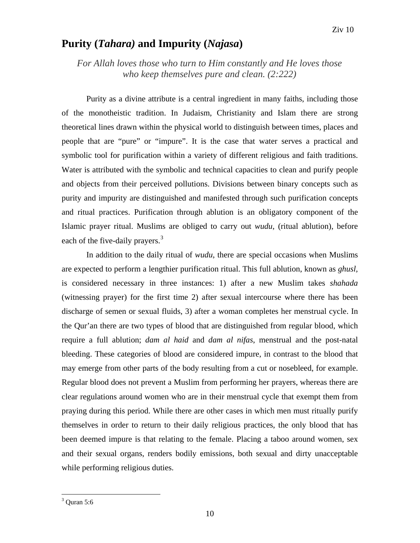### **Purity (***Tahara)* **and Impurity (***Najasa***)**

*For Allah loves those who turn to Him constantly and He loves those who keep themselves pure and clean. (2:222)*

Purity as a divine attribute is a central ingredient in many faiths, including those of the monotheistic tradition. In Judaism, Christianity and Islam there are strong theoretical lines drawn within the physical world to distinguish between times, places and people that are "pure" or "impure". It is the case that water serves a practical and symbolic tool for purification within a variety of different religious and faith traditions. Water is attributed with the symbolic and technical capacities to clean and purify people and objects from their perceived pollutions. Divisions between binary concepts such as purity and impurity are distinguished and manifested through such purification concepts and ritual practices. Purification through ablution is an obligatory component of the Islamic prayer ritual. Muslims are obliged to carry out *wudu*, (ritual ablution), before each of the five-daily prayers.<sup>[3](#page-10-0)</sup>

In addition to the daily ritual of *wudu*, there are special occasions when Muslims are expected to perform a lengthier purification ritual. This full ablution, known as *ghusl,* is considered necessary in three instances: 1) after a new Muslim takes *shahada* (witnessing prayer) for the first time 2) after sexual intercourse where there has been discharge of semen or sexual fluids, 3) after a woman completes her menstrual cycle. In the Qur'an there are two types of blood that are distinguished from regular blood, which require a full ablution; *dam al haid* and *dam al nifas*, menstrual and the post-natal bleeding. These categories of blood are considered impure, in contrast to the blood that may emerge from other parts of the body resulting from a cut or nosebleed, for example. Regular blood does not prevent a Muslim from performing her prayers, whereas there are clear regulations around women who are in their menstrual cycle that exempt them from praying during this period. While there are other cases in which men must ritually purify themselves in order to return to their daily religious practices, the only blood that has been deemed impure is that relating to the female. Placing a taboo around women, sex and their sexual organs, renders bodily emissions, both sexual and dirty unacceptable while performing religious duties.

<span id="page-10-0"></span> $3$  Quran 5:6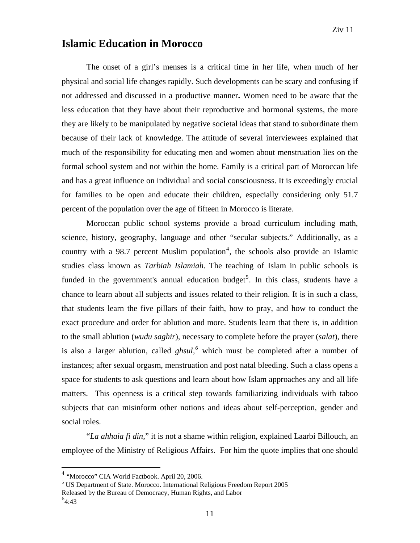### **Islamic Education in Morocco**

The onset of a girl's menses is a critical time in her life, when much of her physical and social life changes rapidly. Such developments can be scary and confusing if not addressed and discussed in a productive manner**.** Women need to be aware that the less education that they have about their reproductive and hormonal systems, the more they are likely to be manipulated by negative societal ideas that stand to subordinate them because of their lack of knowledge. The attitude of several interviewees explained that much of the responsibility for educating men and women about menstruation lies on the formal school system and not within the home. Family is a critical part of Moroccan life and has a great influence on individual and social consciousness. It is exceedingly crucial for families to be open and educate their children, especially considering only 51.7 percent of the population over the age of fifteen in Morocco is literate.

 Moroccan public school systems provide a broad curriculum including math, science, history, geography, language and other "secular subjects." Additionally, as a country with a 98.7 percent Muslim population<sup>[4](#page-11-0)</sup>, the schools also provide an Islamic studies class known as *Tarbiah Islamiah*. The teaching of Islam in public schools is funded in the government's annual education budget<sup>[5](#page-11-1)</sup>. In this class, students have a chance to learn about all subjects and issues related to their religion. It is in such a class, that students learn the five pillars of their faith, how to pray, and how to conduct the exact procedure and order for ablution and more. Students learn that there is, in addition to the small ablution (*wudu saghir*), necessary to complete before the prayer (*salat*), there is also a larger ablution, called *ghsul,[6](#page-11-2)* which must be completed after a number of instances; after sexual orgasm, menstruation and post natal bleeding. Such a class opens a space for students to ask questions and learn about how Islam approaches any and all life matters. This openness is a critical step towards familiarizing individuals with taboo subjects that can misinform other notions and ideas about self-perception, gender and social roles.

 "*La ahhaia fi din,*" it is not a shame within religion, explained Laarbi Billouch, an employee of the Ministry of Religious Affairs. For him the quote implies that one should

<span id="page-11-1"></span><sup>5</sup> US Department of State. Morocco. International Religious Freedom Report 2005

<span id="page-11-0"></span><sup>4</sup> "Morocco" CIA World Factbook. April 20, 2006.

Released by the Bureau of Democracy, Human Rights, and Labor

<span id="page-11-2"></span> $^{6}4:43$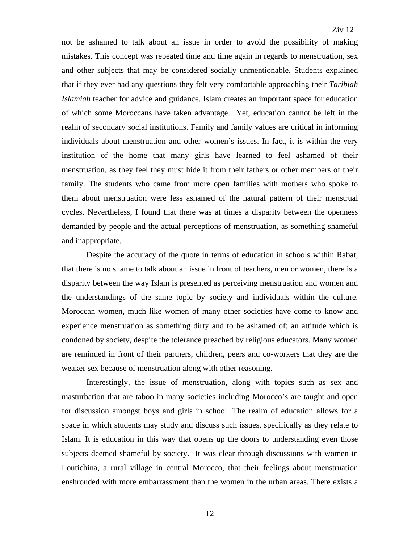not be ashamed to talk about an issue in order to avoid the possibility of making mistakes. This concept was repeated time and time again in regards to menstruation, sex and other subjects that may be considered socially unmentionable. Students explained that if they ever had any questions they felt very comfortable approaching their *Taribiah Islamiah* teacher for advice and guidance. Islam creates an important space for education of which some Moroccans have taken advantage. Yet, education cannot be left in the realm of secondary social institutions. Family and family values are critical in informing individuals about menstruation and other women's issues. In fact, it is within the very institution of the home that many girls have learned to feel ashamed of their menstruation, as they feel they must hide it from their fathers or other members of their family. The students who came from more open families with mothers who spoke to them about menstruation were less ashamed of the natural pattern of their menstrual cycles. Nevertheless, I found that there was at times a disparity between the openness demanded by people and the actual perceptions of menstruation, as something shameful and inappropriate.

 Despite the accuracy of the quote in terms of education in schools within Rabat, that there is no shame to talk about an issue in front of teachers, men or women, there is a disparity between the way Islam is presented as perceiving menstruation and women and the understandings of the same topic by society and individuals within the culture. Moroccan women, much like women of many other societies have come to know and experience menstruation as something dirty and to be ashamed of; an attitude which is condoned by society, despite the tolerance preached by religious educators. Many women are reminded in front of their partners, children, peers and co-workers that they are the weaker sex because of menstruation along with other reasoning.

 Interestingly, the issue of menstruation, along with topics such as sex and masturbation that are taboo in many societies including Morocco's are taught and open for discussion amongst boys and girls in school. The realm of education allows for a space in which students may study and discuss such issues, specifically as they relate to Islam. It is education in this way that opens up the doors to understanding even those subjects deemed shameful by society. It was clear through discussions with women in Loutichina, a rural village in central Morocco, that their feelings about menstruation enshrouded with more embarrassment than the women in the urban areas. There exists a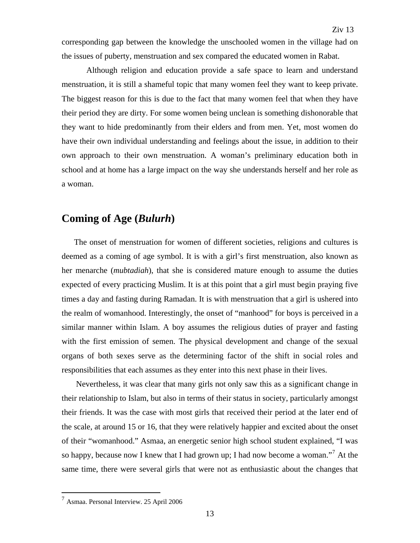corresponding gap between the knowledge the unschooled women in the village had on the issues of puberty, menstruation and sex compared the educated women in Rabat.

 Although religion and education provide a safe space to learn and understand menstruation, it is still a shameful topic that many women feel they want to keep private. The biggest reason for this is due to the fact that many women feel that when they have their period they are dirty. For some women being unclean is something dishonorable that they want to hide predominantly from their elders and from men. Yet, most women do have their own individual understanding and feelings about the issue, in addition to their own approach to their own menstruation. A woman's preliminary education both in school and at home has a large impact on the way she understands herself and her role as a woman.

#### **Coming of Age (***Bulurh***)**

The onset of menstruation for women of different societies, religions and cultures is deemed as a coming of age symbol. It is with a girl's first menstruation, also known as her menarche (*mubtadiah*), that she is considered mature enough to assume the duties expected of every practicing Muslim. It is at this point that a girl must begin praying five times a day and fasting during Ramadan. It is with menstruation that a girl is ushered into the realm of womanhood. Interestingly, the onset of "manhood" for boys is perceived in a similar manner within Islam. A boy assumes the religious duties of prayer and fasting with the first emission of semen. The physical development and change of the sexual organs of both sexes serve as the determining factor of the shift in social roles and responsibilities that each assumes as they enter into this next phase in their lives.

 Nevertheless, it was clear that many girls not only saw this as a significant change in their relationship to Islam, but also in terms of their status in society, particularly amongst their friends. It was the case with most girls that received their period at the later end of the scale, at around 15 or 16, that they were relatively happier and excited about the onset of their "womanhood." Asmaa, an energetic senior high school student explained, "I was so happy, because now I knew that I had grown up; I had now become a woman."<sup>[7](#page-13-0)</sup> At the same time, there were several girls that were not as enthusiastic about the changes that

<span id="page-13-0"></span> $^7$  Asmaa. Personal Interview. 25 April 2006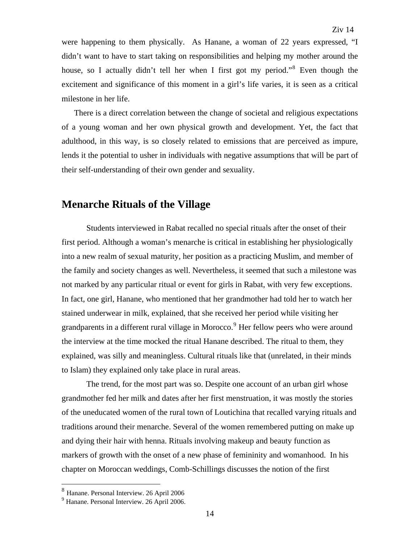were happening to them physically. As Hanane, a woman of 22 years expressed, "I didn't want to have to start taking on responsibilities and helping my mother around the house, so I actually didn't tell her when I first got my period."<sup>[8](#page-14-0)</sup> Even though the excitement and significance of this moment in a girl's life varies, it is seen as a critical milestone in her life.

There is a direct correlation between the change of societal and religious expectations of a young woman and her own physical growth and development. Yet, the fact that adulthood, in this way, is so closely related to emissions that are perceived as impure, lends it the potential to usher in individuals with negative assumptions that will be part of their self-understanding of their own gender and sexuality.

#### **Menarche Rituals of the Village**

 Students interviewed in Rabat recalled no special rituals after the onset of their first period. Although a woman's menarche is critical in establishing her physiologically into a new realm of sexual maturity, her position as a practicing Muslim, and member of the family and society changes as well. Nevertheless, it seemed that such a milestone was not marked by any particular ritual or event for girls in Rabat, with very few exceptions. In fact, one girl, Hanane, who mentioned that her grandmother had told her to watch her stained underwear in milk, explained, that she received her period while visiting her grandparents in a different rural village in Morocco.<sup>[9](#page-14-1)</sup> Her fellow peers who were around the interview at the time mocked the ritual Hanane described. The ritual to them, they explained, was silly and meaningless. Cultural rituals like that (unrelated, in their minds to Islam) they explained only take place in rural areas.

 The trend, for the most part was so. Despite one account of an urban girl whose grandmother fed her milk and dates after her first menstruation, it was mostly the stories of the uneducated women of the rural town of Loutichina that recalled varying rituals and traditions around their menarche. Several of the women remembered putting on make up and dying their hair with henna. Rituals involving makeup and beauty function as markers of growth with the onset of a new phase of femininity and womanhood. In his chapter on Moroccan weddings, Comb-Schillings discusses the notion of the first

<span id="page-14-0"></span><sup>8</sup> Hanane. Personal Interview. 26 April 2006

<span id="page-14-1"></span><sup>9</sup> Hanane. Personal Interview. 26 April 2006.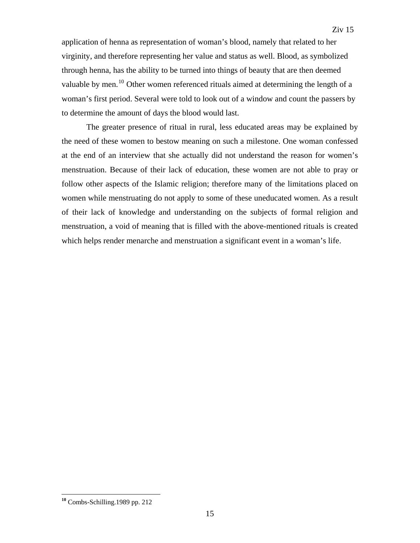application of henna as representation of woman's blood, namely that related to her virginity, and therefore representing her value and status as well. Blood, as symbolized through henna, has the ability to be turned into things of beauty that are then deemed valuable by men.<sup>[10](#page-15-0)</sup> Other women referenced rituals aimed at determining the length of a woman's first period. Several were told to look out of a window and count the passers by to determine the amount of days the blood would last.

 The greater presence of ritual in rural, less educated areas may be explained by the need of these women to bestow meaning on such a milestone. One woman confessed at the end of an interview that she actually did not understand the reason for women's menstruation. Because of their lack of education, these women are not able to pray or follow other aspects of the Islamic religion; therefore many of the limitations placed on women while menstruating do not apply to some of these uneducated women. As a result of their lack of knowledge and understanding on the subjects of formal religion and menstruation, a void of meaning that is filled with the above-mentioned rituals is created which helps render menarche and menstruation a significant event in a woman's life.

<span id="page-15-0"></span>**<sup>10</sup>** Combs-Schilling.1989 pp. 212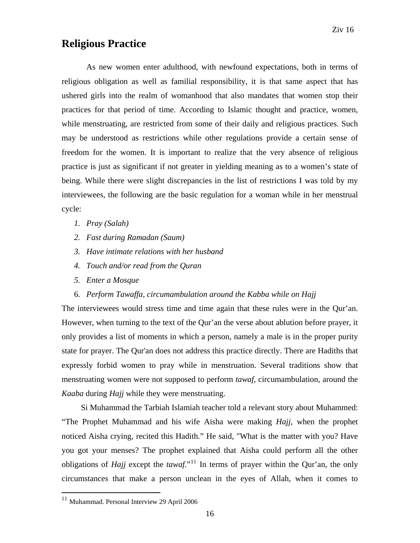### **Religious Practice**

 As new women enter adulthood, with newfound expectations, both in terms of religious obligation as well as familial responsibility, it is that same aspect that has ushered girls into the realm of womanhood that also mandates that women stop their practices for that period of time. According to Islamic thought and practice, women, while menstruating, are restricted from some of their daily and religious practices. Such may be understood as restrictions while other regulations provide a certain sense of freedom for the women. It is important to realize that the very absence of religious practice is just as significant if not greater in yielding meaning as to a women's state of being. While there were slight discrepancies in the list of restrictions I was told by my interviewees, the following are the basic regulation for a woman while in her menstrual cycle:

- *1. Pray (Salah)*
- *2. Fast during Ramadan (Saum)*
- *3. Have intimate relations with her husband*
- *4. Touch and/or read from the Quran*
- *5. Enter a Mosque*
- 6. *Perform Tawaffa, circumambulation around the Kabba while on Hajj*

The interviewees would stress time and time again that these rules were in the Qur'an. However, when turning to the text of the Qur'an the verse about ablution before prayer, it only provides a list of moments in which a person, namely a male is in the proper purity state for prayer. The Qur'an does not address this practice directly. There are Hadiths that expressly forbid women to pray while in menstruation. Several traditions show that menstruating women were not supposed to perform *tawaf*, circumambulation, around the *Kaaba* during *Hajj* while they were menstruating.

 Si Muhammad the Tarbiah Islamiah teacher told a relevant story about Muhammed: "The Prophet Muhammad and his wife Aisha were making *Hajj*, when the prophet noticed Aisha crying, recited this Hadith." He said, "What is the matter with you? Have you got your menses? The prophet explained that Aisha could perform all the other obligations of *Hajj* except the *tawaf*.<sup>"[11](#page-16-0)</sup> In terms of prayer within the Our'an, the only circumstances that make a person unclean in the eyes of Allah, when it comes to

<span id="page-16-0"></span><sup>&</sup>lt;sup>11</sup> Muhammad. Personal Interview 29 April 2006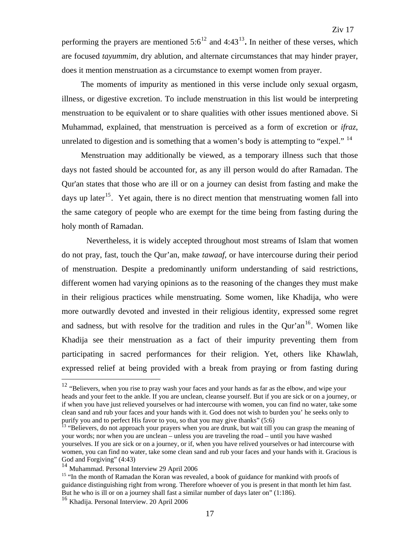performing the prayers are mentioned  $5:6^{12}$  $5:6^{12}$  $5:6^{12}$  and  $4:43^{13}$  $4:43^{13}$  $4:43^{13}$ . In neither of these verses, which are focused *tayummim*, dry ablution, and alternate circumstances that may hinder prayer, does it mention menstruation as a circumstance to exempt women from prayer.

 The moments of impurity as mentioned in this verse include only sexual orgasm, illness, or digestive excretion. To include menstruation in this list would be interpreting menstruation to be equivalent or to share qualities with other issues mentioned above. Si Muhammad, explained, that menstruation is perceived as a form of excretion or *ifraz*, unrelated to digestion and is something that a women's body is attempting to "expel."  $^{14}$  $^{14}$  $^{14}$ 

 Menstruation may additionally be viewed, as a temporary illness such that those days not fasted should be accounted for, as any ill person would do after Ramadan. The Qur'an states that those who are ill or on a journey can desist from fasting and make the days up later<sup>[15](#page-17-3)</sup>. Yet again, there is no direct mention that menstruating women fall into the same category of people who are exempt for the time being from fasting during the holy month of Ramadan.

Nevertheless, it is widely accepted throughout most streams of Islam that women do not pray, fast, touch the Qur'an, make *tawaaf*, or have intercourse during their period of menstruation. Despite a predominantly uniform understanding of said restrictions, different women had varying opinions as to the reasoning of the changes they must make in their religious practices while menstruating. Some women, like Khadija, who were more outwardly devoted and invested in their religious identity, expressed some regret and sadness, but with resolve for the tradition and rules in the Qur'an $16$ . Women like Khadija see their menstruation as a fact of their impurity preventing them from participating in sacred performances for their religion. Yet, others like Khawlah, expressed relief at being provided with a break from praying or from fasting during

<span id="page-17-0"></span> $12$  "Believers, when you rise to pray wash your faces and your hands as far as the elbow, and wipe your heads and your feet to the ankle. If you are unclean, cleanse yourself. But if you are sick or on a journey, or if when you have just relieved yourselves or had intercourse with women, you can find no water, take some clean sand and rub your faces and your hands with it. God does not wish to burden you' he seeks only to purify you and to perfect His favor to you, so that you may give thanks"  $(5:6)$ 

<span id="page-17-1"></span><sup>&</sup>lt;sup>3</sup> "Believers, do not approach your prayers when you are drunk, but wait till you can grasp the meaning of your words; nor when you are unclean – unless you are traveling the road – until you have washed yourselves. If you are sick or on a journey, or if, when you have relived yourselves or had intercourse with women, you can find no water, take some clean sand and rub your faces and your hands with it. Gracious is God and Forgiving" (4:43)

<span id="page-17-2"></span><sup>14</sup> Muhammad. Personal Interview 29 April 2006

<span id="page-17-3"></span><sup>&</sup>lt;sup>15</sup> "In the month of Ramadan the Koran was revealed, a book of guidance for mankind with proofs of guidance distinguishing right from wrong. Therefore whoever of you is present in that month let him fast. But he who is ill or on a journey shall fast a similar number of days later on" (1:186).

<span id="page-17-4"></span><sup>&</sup>lt;sup>16</sup> Khadija. Personal Interview. 20 April 2006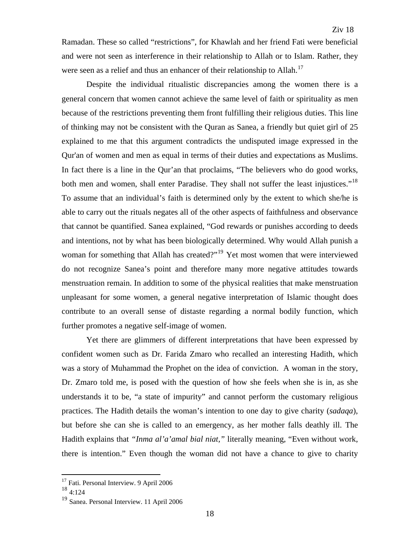Ramadan. These so called "restrictions", for Khawlah and her friend Fati were beneficial and were not seen as interference in their relationship to Allah or to Islam. Rather, they were seen as a relief and thus an enhancer of their relationship to Allah.<sup>[17](#page-18-0)</sup>

Despite the individual ritualistic discrepancies among the women there is a general concern that women cannot achieve the same level of faith or spirituality as men because of the restrictions preventing them front fulfilling their religious duties. This line of thinking may not be consistent with the Quran as Sanea, a friendly but quiet girl of 25 explained to me that this argument contradicts the undisputed image expressed in the Qur'an of women and men as equal in terms of their duties and expectations as Muslims. In fact there is a line in the Qur'an that proclaims, "The believers who do good works, both men and women, shall enter Paradise. They shall not suffer the least injustices."<sup>[18](#page-18-1)</sup> To assume that an individual's faith is determined only by the extent to which she/he is able to carry out the rituals negates all of the other aspects of faithfulness and observance that cannot be quantified. Sanea explained, "God rewards or punishes according to deeds and intentions, not by what has been biologically determined. Why would Allah punish a woman for something that Allah has created?"<sup>[19](#page-18-2)</sup> Yet most women that were interviewed do not recognize Sanea's point and therefore many more negative attitudes towards menstruation remain. In addition to some of the physical realities that make menstruation unpleasant for some women, a general negative interpretation of Islamic thought does contribute to an overall sense of distaste regarding a normal bodily function, which further promotes a negative self-image of women.

 Yet there are glimmers of different interpretations that have been expressed by confident women such as Dr. Farida Zmaro who recalled an interesting Hadith, which was a story of Muhammad the Prophet on the idea of conviction. A woman in the story, Dr. Zmaro told me, is posed with the question of how she feels when she is in, as she understands it to be, "a state of impurity" and cannot perform the customary religious practices. The Hadith details the woman's intention to one day to give charity (*sadaqa*), but before she can she is called to an emergency, as her mother falls deathly ill. The Hadith explains that *"Inma al'a'amal bial niat,"* literally meaning, "Even without work, there is intention." Even though the woman did not have a chance to give to charity

<span id="page-18-0"></span><sup>&</sup>lt;sup>17</sup> Fati. Personal Interview. 9 April 2006

<span id="page-18-1"></span><sup>18</sup> 4:124

<span id="page-18-2"></span><sup>&</sup>lt;sup>19</sup> Sanea. Personal Interview. 11 April 2006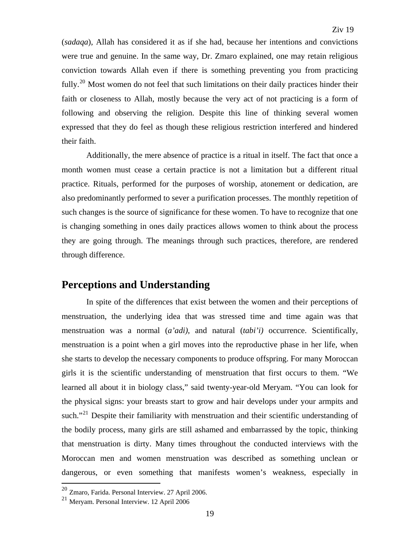(*sadaqa*), Allah has considered it as if she had, because her intentions and convictions were true and genuine. In the same way, Dr. Zmaro explained, one may retain religious conviction towards Allah even if there is something preventing you from practicing fully.<sup>[20](#page-19-0)</sup> Most women do not feel that such limitations on their daily practices hinder their faith or closeness to Allah, mostly because the very act of not practicing is a form of following and observing the religion. Despite this line of thinking several women expressed that they do feel as though these religious restriction interfered and hindered their faith.

 Additionally, the mere absence of practice is a ritual in itself. The fact that once a month women must cease a certain practice is not a limitation but a different ritual practice. Rituals, performed for the purposes of worship, atonement or dedication, are also predominantly performed to sever a purification processes. The monthly repetition of such changes is the source of significance for these women. To have to recognize that one is changing something in ones daily practices allows women to think about the process they are going through. The meanings through such practices, therefore, are rendered through difference.

#### **Perceptions and Understanding**

In spite of the differences that exist between the women and their perceptions of menstruation, the underlying idea that was stressed time and time again was that menstruation was a normal (*a'adi)*, and natural (*tabi'i)* occurrence. Scientifically, menstruation is a point when a girl moves into the reproductive phase in her life, when she starts to develop the necessary components to produce offspring. For many Moroccan girls it is the scientific understanding of menstruation that first occurs to them. "We learned all about it in biology class," said twenty-year-old Meryam. "You can look for the physical signs: your breasts start to grow and hair develops under your armpits and such."<sup>[21](#page-19-1)</sup> Despite their familiarity with menstruation and their scientific understanding of the bodily process, many girls are still ashamed and embarrassed by the topic, thinking that menstruation is dirty. Many times throughout the conducted interviews with the Moroccan men and women menstruation was described as something unclean or dangerous, or even something that manifests women's weakness, especially in

<span id="page-19-0"></span><sup>20</sup> Zmaro, Farida. Personal Interview. 27 April 2006.

<span id="page-19-1"></span><sup>21</sup> Meryam. Personal Interview. 12 April 2006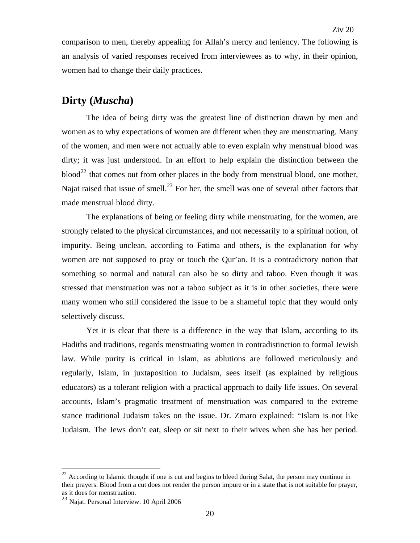comparison to men, thereby appealing for Allah's mercy and leniency. The following is an analysis of varied responses received from interviewees as to why, in their opinion, women had to change their daily practices.

### **Dirty (***Muscha***)**

 The idea of being dirty was the greatest line of distinction drawn by men and women as to why expectations of women are different when they are menstruating. Many of the women, and men were not actually able to even explain why menstrual blood was dirty; it was just understood. In an effort to help explain the distinction between the  $\rm blood^{22}$  $\rm blood^{22}$  $\rm blood^{22}$  that comes out from other places in the body from menstrual blood, one mother, Najat raised that issue of smell.<sup>[23](#page-20-1)</sup> For her, the smell was one of several other factors that made menstrual blood dirty.

 The explanations of being or feeling dirty while menstruating, for the women, are strongly related to the physical circumstances, and not necessarily to a spiritual notion, of impurity. Being unclean, according to Fatima and others, is the explanation for why women are not supposed to pray or touch the Qur'an. It is a contradictory notion that something so normal and natural can also be so dirty and taboo. Even though it was stressed that menstruation was not a taboo subject as it is in other societies, there were many women who still considered the issue to be a shameful topic that they would only selectively discuss.

Yet it is clear that there is a difference in the way that Islam, according to its Hadiths and traditions, regards menstruating women in contradistinction to formal Jewish law. While purity is critical in Islam, as ablutions are followed meticulously and regularly, Islam, in juxtaposition to Judaism, sees itself (as explained by religious educators) as a tolerant religion with a practical approach to daily life issues. On several accounts, Islam's pragmatic treatment of menstruation was compared to the extreme stance traditional Judaism takes on the issue. Dr. Zmaro explained: "Islam is not like Judaism. The Jews don't eat, sleep or sit next to their wives when she has her period.

<span id="page-20-0"></span> $22$  According to Islamic thought if one is cut and begins to bleed during Salat, the person may continue in their prayers. Blood from a cut does not render the person impure or in a state that is not suitable for prayer, as it does for menstruation.

<span id="page-20-1"></span> $23$  Najat. Personal Interview. 10 April 2006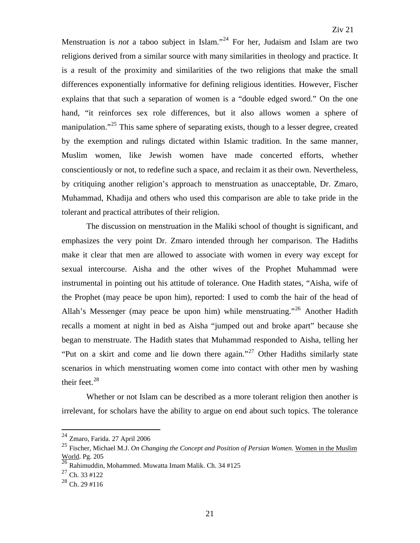Menstruation is *not* a taboo subject in Islam."<sup>[24](#page-21-0)</sup> For her, Judaism and Islam are two religions derived from a similar source with many similarities in theology and practice. It is a result of the proximity and similarities of the two religions that make the small differences exponentially informative for defining religious identities. However, Fischer explains that that such a separation of women is a "double edged sword." On the one hand, "it reinforces sex role differences, but it also allows women a sphere of manipulation."<sup>[25](#page-21-1)</sup> This same sphere of separating exists, though to a lesser degree, created by the exemption and rulings dictated within Islamic tradition. In the same manner, Muslim women, like Jewish women have made concerted efforts, whether conscientiously or not, to redefine such a space, and reclaim it as their own. Nevertheless, by critiquing another religion's approach to menstruation as unacceptable, Dr. Zmaro, Muhammad, Khadija and others who used this comparison are able to take pride in the tolerant and practical attributes of their religion.

The discussion on menstruation in the Maliki school of thought is significant, and emphasizes the very point Dr. Zmaro intended through her comparison. The Hadiths make it clear that men are allowed to associate with women in every way except for sexual intercourse. Aisha and the other wives of the Prophet Muhammad were instrumental in pointing out his attitude of tolerance. One Hadith states, "Aisha, wife of the Prophet (may peace be upon him), reported: I used to comb the hair of the head of Allah's Messenger (may peace be upon him) while menstruating."<sup>[26](#page-21-2)</sup> Another Hadith recalls a moment at night in bed as Aisha "jumped out and broke apart" because she began to menstruate. The Hadith states that Muhammad responded to Aisha, telling her "Put on a skirt and come and lie down there again."<sup>27</sup> Other Hadiths similarly state scenarios in which menstruating women come into contact with other men by washing their feet. $^{28}$  $^{28}$  $^{28}$ 

Whether or not Islam can be described as a more tolerant religion then another is irrelevant, for scholars have the ability to argue on end about such topics. The tolerance

 $24$  Zmaro, Farida. 27 April 2006

<span id="page-21-1"></span><span id="page-21-0"></span><sup>25</sup> Fischer, Michael M.J. *On Changing the Concept and Position of Persian Women*. Women in the Muslim World. Pg. 205

<span id="page-21-2"></span><sup>26</sup> Rahimuddin, Mohammed. Muwatta Imam Malik. Ch. 34 #125

 $27$  Ch. 33 #122

<span id="page-21-4"></span><span id="page-21-3"></span><sup>28</sup> Ch. 29 #116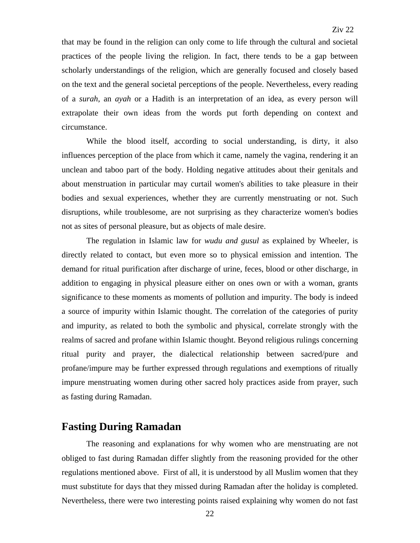that may be found in the religion can only come to life through the cultural and societal practices of the people living the religion. In fact, there tends to be a gap between scholarly understandings of the religion, which are generally focused and closely based on the text and the general societal perceptions of the people. Nevertheless, every reading of a *surah*, an *ayah* or a Hadith is an interpretation of an idea, as every person will extrapolate their own ideas from the words put forth depending on context and circumstance.

While the blood itself, according to social understanding, is dirty, it also influences perception of the place from which it came, namely the vagina, rendering it an unclean and taboo part of the body. Holding negative attitudes about their genitals and about menstruation in particular may curtail women's abilities to take pleasure in their bodies and sexual experiences, whether they are currently menstruating or not. Such disruptions, while troublesome, are not surprising as they characterize women's bodies not as sites of personal pleasure, but as objects of male desire.

The regulation in Islamic law for *wudu and gusul* as explained by Wheeler, is directly related to contact, but even more so to physical emission and intention. The demand for ritual purification after discharge of urine, feces, blood or other discharge, in addition to engaging in physical pleasure either on ones own or with a woman, grants significance to these moments as moments of pollution and impurity. The body is indeed a source of impurity within Islamic thought. The correlation of the categories of purity and impurity, as related to both the symbolic and physical, correlate strongly with the realms of sacred and profane within Islamic thought. Beyond religious rulings concerning ritual purity and prayer, the dialectical relationship between sacred/pure and profane/impure may be further expressed through regulations and exemptions of ritually impure menstruating women during other sacred holy practices aside from prayer, such as fasting during Ramadan.

#### **Fasting During Ramadan**

 The reasoning and explanations for why women who are menstruating are not obliged to fast during Ramadan differ slightly from the reasoning provided for the other regulations mentioned above. First of all, it is understood by all Muslim women that they must substitute for days that they missed during Ramadan after the holiday is completed. Nevertheless, there were two interesting points raised explaining why women do not fast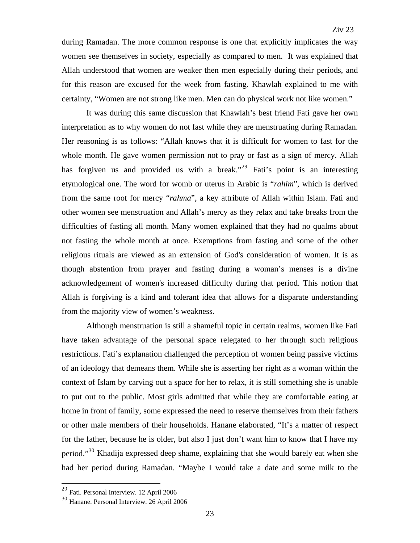during Ramadan. The more common response is one that explicitly implicates the way women see themselves in society, especially as compared to men. It was explained that Allah understood that women are weaker then men especially during their periods, and for this reason are excused for the week from fasting. Khawlah explained to me with certainty, "Women are not strong like men. Men can do physical work not like women."

 It was during this same discussion that Khawlah's best friend Fati gave her own interpretation as to why women do not fast while they are menstruating during Ramadan. Her reasoning is as follows: "Allah knows that it is difficult for women to fast for the whole month. He gave women permission not to pray or fast as a sign of mercy. Allah has forgiven us and provided us with a break."<sup>[29](#page-23-0)</sup> Fati's point is an interesting etymological one. The word for womb or uterus in Arabic is "*rahim*", which is derived from the same root for mercy "*rahma*", a key attribute of Allah within Islam. Fati and other women see menstruation and Allah's mercy as they relax and take breaks from the difficulties of fasting all month. Many women explained that they had no qualms about not fasting the whole month at once. Exemptions from fasting and some of the other religious rituals are viewed as an extension of God's consideration of women. It is as though abstention from prayer and fasting during a woman's menses is a divine acknowledgement of women's increased difficulty during that period. This notion that Allah is forgiving is a kind and tolerant idea that allows for a disparate understanding from the majority view of women's weakness.

 Although menstruation is still a shameful topic in certain realms, women like Fati have taken advantage of the personal space relegated to her through such religious restrictions. Fati's explanation challenged the perception of women being passive victims of an ideology that demeans them. While she is asserting her right as a woman within the context of Islam by carving out a space for her to relax, it is still something she is unable to put out to the public. Most girls admitted that while they are comfortable eating at home in front of family, some expressed the need to reserve themselves from their fathers or other male members of their households. Hanane elaborated, "It's a matter of respect for the father, because he is older, but also I just don't want him to know that I have my period."[30](#page-23-1) Khadija expressed deep shame, explaining that she would barely eat when she had her period during Ramadan. "Maybe I would take a date and some milk to the

<span id="page-23-0"></span><sup>29</sup> Fati. Personal Interview. 12 April 2006

<span id="page-23-1"></span><sup>30</sup> Hanane. Personal Interview. 26 April 2006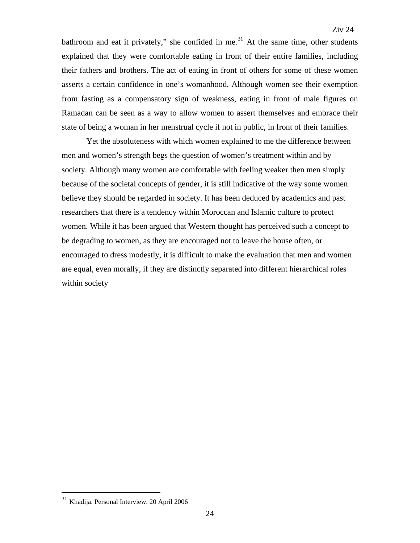bathroom and eat it privately," she confided in me. $31$  At the same time, other students explained that they were comfortable eating in front of their entire families, including their fathers and brothers. The act of eating in front of others for some of these women asserts a certain confidence in one's womanhood. Although women see their exemption from fasting as a compensatory sign of weakness, eating in front of male figures on Ramadan can be seen as a way to allow women to assert themselves and embrace their state of being a woman in her menstrual cycle if not in public, in front of their families.

 Yet the absoluteness with which women explained to me the difference between men and women's strength begs the question of women's treatment within and by society. Although many women are comfortable with feeling weaker then men simply because of the societal concepts of gender, it is still indicative of the way some women believe they should be regarded in society. It has been deduced by academics and past researchers that there is a tendency within Moroccan and Islamic culture to protect women. While it has been argued that Western thought has perceived such a concept to be degrading to women, as they are encouraged not to leave the house often, or encouraged to dress modestly, it is difficult to make the evaluation that men and women are equal, even morally, if they are distinctly separated into different hierarchical roles within society

<span id="page-24-0"></span><sup>&</sup>lt;sup>31</sup> Khadija. Personal Interview. 20 April 2006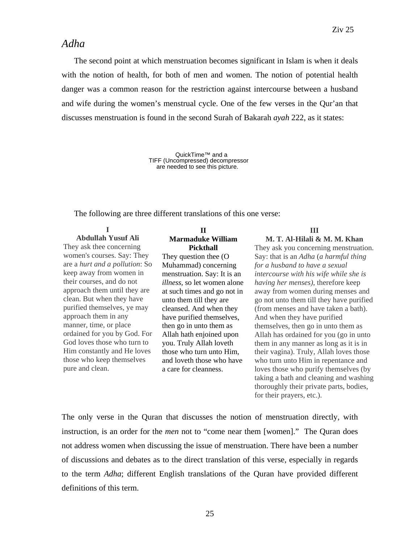#### *Adha*

The second point at which menstruation becomes significant in Islam is when it deals with the notion of health, for both of men and women. The notion of potential health danger was a common reason for the restriction against intercourse between a husband and wife during the women's menstrual cycle. One of the few verses in the Qur'an that discusses menstruation is found in the second Surah of Bakarah *ayah* 222, as it states:

> QuickTime™ and a TIFF (Uncompressed) decompressor are needed to see this picture.

The following are three different translations of this one verse:

#### **I**

**Abdullah Yusuf Ali**  They ask thee concerning women's courses. Say: They are a *hurt and a pollution*: So keep away from women in their courses, and do not approach them until they are clean. But when they have purified themselves, ye may approach them in any manner, time, or place ordained for you by God. For God loves those who turn to Him constantly and He loves those who keep themselves pure and clean.

#### **II Marmaduke William Pickthall**

They question thee (O Muhammad) concerning menstruation. Say: It is an *illness*, so let women alone at such times and go not in unto them till they are cleansed. And when they have purified themselves, then go in unto them as Allah hath enjoined upon you. Truly Allah loveth those who turn unto Him, and loveth those who have a care for cleanness.

**III** 

#### **M. T. Al-Hilali & M. M. Khan**

They ask you concerning menstruation. Say: that is an *Adha* (*a harmful thing for a husband to have a sexual intercourse with his wife while she is having her menses)*, therefore keep away from women during menses and go not unto them till they have purified (from menses and have taken a bath). And when they have purified themselves, then go in unto them as Allah has ordained for you (go in unto them in any manner as long as it is in their vagina). Truly, Allah loves those who turn unto Him in repentance and loves those who purify themselves (by taking a bath and cleaning and washing thoroughly their private parts, bodies, for their prayers, etc.).

The only verse in the Quran that discusses the notion of menstruation directly, with instruction, is an order for the *men* not to "come near them [women]." The Quran does not address women when discussing the issue of menstruation. There have been a number of discussions and debates as to the direct translation of this verse, especially in regards to the term *Adha*; different English translations of the Quran have provided different definitions of this term.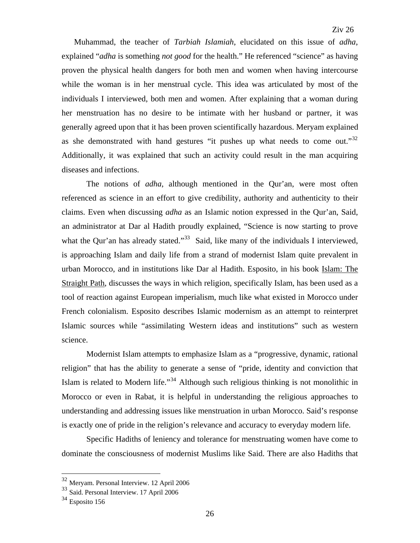Muhammad, the teacher of *Tarbiah Islamiah*, elucidated on this issue of *adha*, explained "*adha* is something *not good* for the health." He referenced "science" as having proven the physical health dangers for both men and women when having intercourse while the woman is in her menstrual cycle. This idea was articulated by most of the individuals I interviewed, both men and women. After explaining that a woman during her menstruation has no desire to be intimate with her husband or partner, it was generally agreed upon that it has been proven scientifically hazardous. Meryam explained as she demonstrated with hand gestures "it pushes up what needs to come out."<sup>[32](#page-26-0)</sup> Additionally, it was explained that such an activity could result in the man acquiring diseases and infections.

 The notions of *adha*, although mentioned in the Qur'an, were most often referenced as science in an effort to give credibility, authority and authenticity to their claims. Even when discussing *adha* as an Islamic notion expressed in the Qur'an, Said, an administrator at Dar al Hadith proudly explained, "Science is now starting to prove what the Qur'an has already stated."<sup>[33](#page-26-1)</sup> Said, like many of the individuals I interviewed, is approaching Islam and daily life from a strand of modernist Islam quite prevalent in urban Morocco, and in institutions like Dar al Hadith. Esposito, in his book Islam: The Straight Path, discusses the ways in which religion, specifically Islam, has been used as a tool of reaction against European imperialism, much like what existed in Morocco under French colonialism. Esposito describes Islamic modernism as an attempt to reinterpret Islamic sources while "assimilating Western ideas and institutions" such as western science.

 Modernist Islam attempts to emphasize Islam as a "progressive, dynamic, rational religion" that has the ability to generate a sense of "pride, identity and conviction that Islam is related to Modern life."<sup>[34](#page-26-2)</sup> Although such religious thinking is not monolithic in Morocco or even in Rabat, it is helpful in understanding the religious approaches to understanding and addressing issues like menstruation in urban Morocco. Said's response is exactly one of pride in the religion's relevance and accuracy to everyday modern life.

Specific Hadiths of leniency and tolerance for menstruating women have come to dominate the consciousness of modernist Muslims like Said. There are also Hadiths that

<sup>&</sup>lt;sup>32</sup> Meryam. Personal Interview. 12 April 2006

<span id="page-26-1"></span><span id="page-26-0"></span><sup>33</sup> Said. Personal Interview. 17 April 2006

<span id="page-26-2"></span> $34$  Esposito 156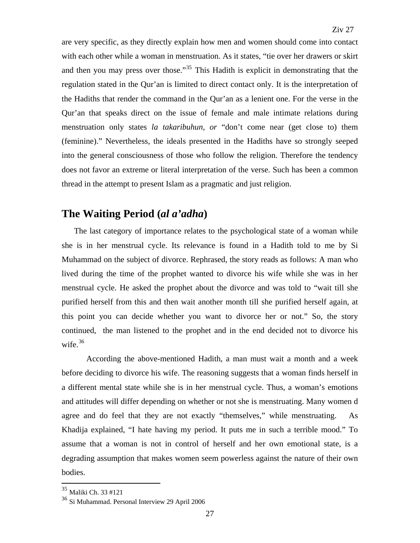are very specific, as they directly explain how men and women should come into contact with each other while a woman in menstruation. As it states, "tie over her drawers or skirt and then you may press over those."<sup>[35](#page-27-0)</sup> This Hadith is explicit in demonstrating that the regulation stated in the Qur'an is limited to direct contact only. It is the interpretation of the Hadiths that render the command in the Qur'an as a lenient one. For the verse in the Qur'an that speaks direct on the issue of female and male intimate relations during menstruation only states *la takaribuhun, or* "don't come near (get close to) them (feminine)." Nevertheless, the ideals presented in the Hadiths have so strongly seeped into the general consciousness of those who follow the religion. Therefore the tendency does not favor an extreme or literal interpretation of the verse. Such has been a common thread in the attempt to present Islam as a pragmatic and just religion.

#### **The Waiting Period (***al a'adha***)**

The last category of importance relates to the psychological state of a woman while she is in her menstrual cycle. Its relevance is found in a Hadith told to me by Si Muhammad on the subject of divorce. Rephrased, the story reads as follows: A man who lived during the time of the prophet wanted to divorce his wife while she was in her menstrual cycle. He asked the prophet about the divorce and was told to "wait till she purified herself from this and then wait another month till she purified herself again, at this point you can decide whether you want to divorce her or not." So, the story continued, the man listened to the prophet and in the end decided not to divorce his wife.  $36$ 

According the above-mentioned Hadith, a man must wait a month and a week before deciding to divorce his wife. The reasoning suggests that a woman finds herself in a different mental state while she is in her menstrual cycle. Thus, a woman's emotions and attitudes will differ depending on whether or not she is menstruating. Many women d agree and do feel that they are not exactly "themselves," while menstruating. As Khadija explained, "I hate having my period. It puts me in such a terrible mood." To assume that a woman is not in control of herself and her own emotional state, is a degrading assumption that makes women seem powerless against the nature of their own bodies.

<span id="page-27-0"></span><sup>35</sup> Maliki Ch. 33 #121

<span id="page-27-1"></span><sup>36</sup> Si Muhammad. Personal Interview 29 April 2006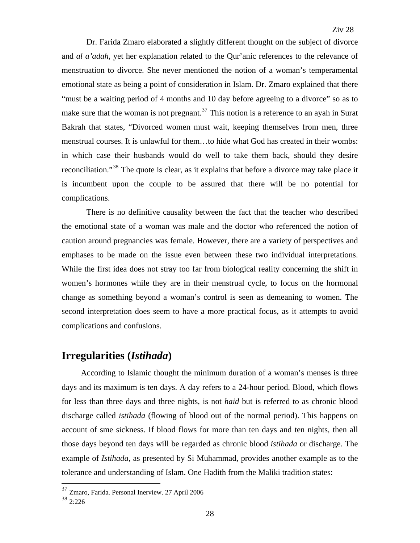Dr. Farida Zmaro elaborated a slightly different thought on the subject of divorce and *al a'adah*, yet her explanation related to the Qur'anic references to the relevance of menstruation to divorce. She never mentioned the notion of a woman's temperamental emotional state as being a point of consideration in Islam. Dr. Zmaro explained that there "must be a waiting period of 4 months and 10 day before agreeing to a divorce" so as to make sure that the woman is not pregnant.<sup>[37](#page-28-0)</sup> This notion is a reference to an ayah in Surat Bakrah that states, "Divorced women must wait, keeping themselves from men, three menstrual courses. It is unlawful for them…to hide what God has created in their wombs: in which case their husbands would do well to take them back, should they desire reconciliation."<sup>[38](#page-28-1)</sup> The quote is clear, as it explains that before a divorce may take place it is incumbent upon the couple to be assured that there will be no potential for complications.

 There is no definitive causality between the fact that the teacher who described the emotional state of a woman was male and the doctor who referenced the notion of caution around pregnancies was female. However, there are a variety of perspectives and emphases to be made on the issue even between these two individual interpretations. While the first idea does not stray too far from biological reality concerning the shift in women's hormones while they are in their menstrual cycle, to focus on the hormonal change as something beyond a woman's control is seen as demeaning to women. The second interpretation does seem to have a more practical focus, as it attempts to avoid complications and confusions.

#### **Irregularities (***Istihada***)**

 According to Islamic thought the minimum duration of a woman's menses is three days and its maximum is ten days. A day refers to a 24-hour period. Blood, which flows for less than three days and three nights, is not *haid* but is referred to as chronic blood discharge called *istihada* (flowing of blood out of the normal period). This happens on account of sme sickness. If blood flows for more than ten days and ten nights, then all those days beyond ten days will be regarded as chronic blood *istihada* or discharge. The example of *Istihada*, as presented by Si Muhammad, provides another example as to the tolerance and understanding of Islam. One Hadith from the Maliki tradition states:

<sup>37</sup> Zmaro, Farida. Personal Inerview. 27 April 2006

<span id="page-28-1"></span><span id="page-28-0"></span><sup>38</sup> 2:226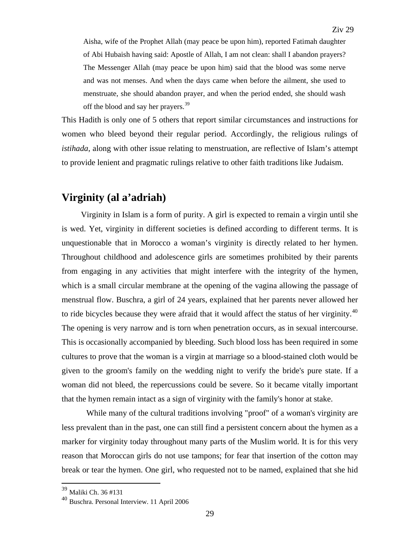Aisha, wife of the Prophet Allah (may peace be upon him), reported Fatimah daughter of Abi Hubaish having said: Apostle of Allah, I am not clean: shall I abandon prayers? The Messenger Allah (may peace be upon him) said that the blood was some nerve and was not menses. And when the days came when before the ailment, she used to menstruate, she should abandon prayer, and when the period ended, she should wash off the blood and say her prayers.<sup>[39](#page-29-0)</sup>

This Hadith is only one of 5 others that report similar circumstances and instructions for women who bleed beyond their regular period. Accordingly, the religious rulings of *istihada*, along with other issue relating to menstruation, are reflective of Islam's attempt to provide lenient and pragmatic rulings relative to other faith traditions like Judaism.

### **Virginity (al a'adriah)**

 Virginity in Islam is a form of purity. A girl is expected to remain a virgin until she is wed. Yet, virginity in different societies is defined according to different terms. It is unquestionable that in Morocco a woman's virginity is directly related to her hymen. Throughout childhood and adolescence girls are sometimes prohibited by their parents from engaging in any activities that might interfere with the integrity of the hymen, which is a small circular membrane at the opening of the vagina allowing the passage of menstrual flow. Buschra, a girl of 24 years, explained that her parents never allowed her to ride bicycles because they were afraid that it would affect the status of her virginity.<sup>[40](#page-29-1)</sup> The opening is very narrow and is torn when penetration occurs, as in sexual intercourse. This is occasionally accompanied by bleeding. Such blood loss has been required in some cultures to prove that the woman is a virgin at marriage so a blood-stained cloth would be given to the groom's family on the wedding night to verify the bride's pure state. If a woman did not bleed, the repercussions could be severe. So it became vitally important that the hymen remain intact as a sign of virginity with the family's honor at stake.

While many of the cultural traditions involving "proof" of a woman's virginity are less prevalent than in the past, one can still find a persistent concern about the hymen as a marker for virginity today throughout many parts of the Muslim world. It is for this very reason that Moroccan girls do not use tampons; for fear that insertion of the cotton may break or tear the hymen. One girl, who requested not to be named, explained that she hid

1

<span id="page-29-0"></span><sup>39</sup> Maliki Ch. 36 #131

<span id="page-29-1"></span><sup>40</sup> Buschra. Personal Interview. 11 April 2006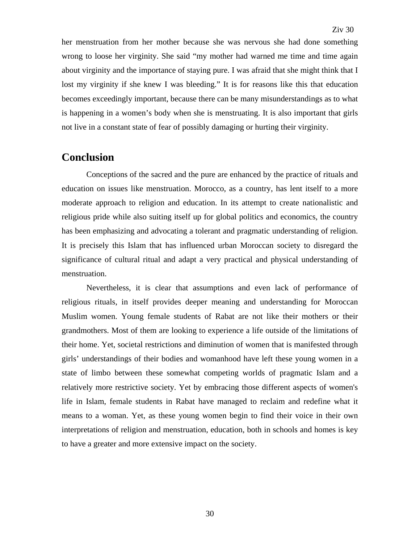her menstruation from her mother because she was nervous she had done something wrong to loose her virginity. She said "my mother had warned me time and time again about virginity and the importance of staying pure. I was afraid that she might think that I lost my virginity if she knew I was bleeding." It is for reasons like this that education becomes exceedingly important, because there can be many misunderstandings as to what is happening in a women's body when she is menstruating. It is also important that girls not live in a constant state of fear of possibly damaging or hurting their virginity.

### **Conclusion**

Conceptions of the sacred and the pure are enhanced by the practice of rituals and education on issues like menstruation. Morocco, as a country, has lent itself to a more moderate approach to religion and education. In its attempt to create nationalistic and religious pride while also suiting itself up for global politics and economics, the country has been emphasizing and advocating a tolerant and pragmatic understanding of religion. It is precisely this Islam that has influenced urban Moroccan society to disregard the significance of cultural ritual and adapt a very practical and physical understanding of menstruation.

Nevertheless, it is clear that assumptions and even lack of performance of religious rituals, in itself provides deeper meaning and understanding for Moroccan Muslim women. Young female students of Rabat are not like their mothers or their grandmothers. Most of them are looking to experience a life outside of the limitations of their home. Yet, societal restrictions and diminution of women that is manifested through girls' understandings of their bodies and womanhood have left these young women in a state of limbo between these somewhat competing worlds of pragmatic Islam and a relatively more restrictive society. Yet by embracing those different aspects of women's life in Islam, female students in Rabat have managed to reclaim and redefine what it means to a woman. Yet, as these young women begin to find their voice in their own interpretations of religion and menstruation, education, both in schools and homes is key to have a greater and more extensive impact on the society.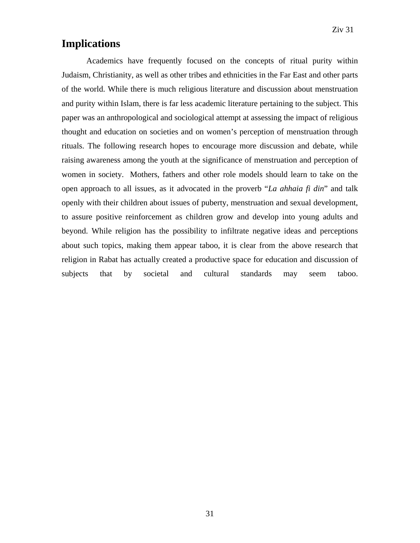### **Implications**

Academics have frequently focused on the concepts of ritual purity within Judaism, Christianity, as well as other tribes and ethnicities in the Far East and other parts of the world. While there is much religious literature and discussion about menstruation and purity within Islam, there is far less academic literature pertaining to the subject. This paper was an anthropological and sociological attempt at assessing the impact of religious thought and education on societies and on women's perception of menstruation through rituals. The following research hopes to encourage more discussion and debate, while raising awareness among the youth at the significance of menstruation and perception of women in society. Mothers, fathers and other role models should learn to take on the open approach to all issues, as it advocated in the proverb "*La ahhaia fi din*" and talk openly with their children about issues of puberty, menstruation and sexual development, to assure positive reinforcement as children grow and develop into young adults and beyond. While religion has the possibility to infiltrate negative ideas and perceptions about such topics, making them appear taboo, it is clear from the above research that religion in Rabat has actually created a productive space for education and discussion of subjects that by societal and cultural standards may seem taboo.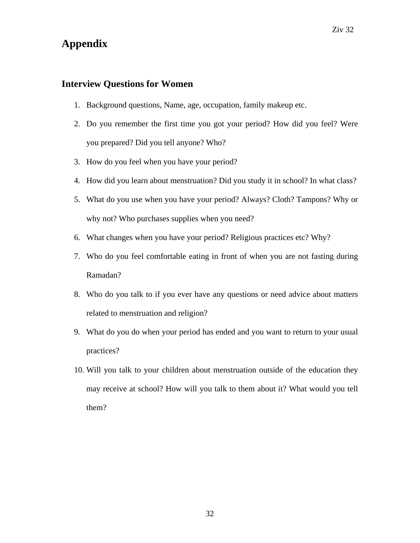#### **Interview Questions for Women**

- 1. Background questions, Name, age, occupation, family makeup etc.
- 2. Do you remember the first time you got your period? How did you feel? Were you prepared? Did you tell anyone? Who?
- 3. How do you feel when you have your period?
- 4. How did you learn about menstruation? Did you study it in school? In what class?
- 5. What do you use when you have your period? Always? Cloth? Tampons? Why or why not? Who purchases supplies when you need?
- 6. What changes when you have your period? Religious practices etc? Why?
- 7. Who do you feel comfortable eating in front of when you are not fasting during Ramadan?
- 8. Who do you talk to if you ever have any questions or need advice about matters related to menstruation and religion?
- 9. What do you do when your period has ended and you want to return to your usual practices?
- 10. Will you talk to your children about menstruation outside of the education they may receive at school? How will you talk to them about it? What would you tell them?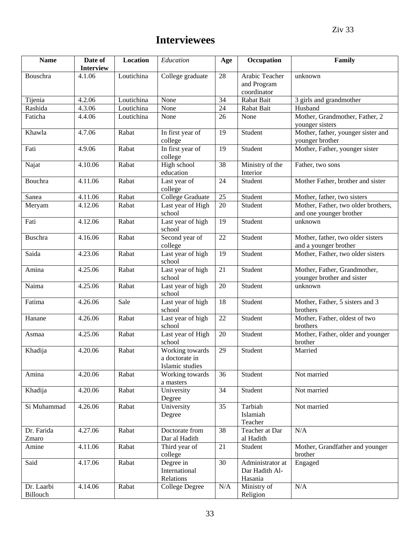## **Interviewees**

| <b>Name</b>            | Date of<br><b>Interview</b> | <b>Location</b> | Education                                            | Age       | Occupation                                    | Family                                                         |
|------------------------|-----------------------------|-----------------|------------------------------------------------------|-----------|-----------------------------------------------|----------------------------------------------------------------|
| Bouschra               | 4.1.06                      | Loutichina      | College graduate                                     | 28        | Arabic Teacher<br>and Program<br>coordinator  | unknown                                                        |
| Tijenia                | 4.2.06                      | Loutichina      | None                                                 | 34        | Rabat Bait                                    | 3 girls and grandmother                                        |
| Rashida                | 4.3.06                      | Loutichina      | None                                                 | 24        | Rabat Bait                                    | Husband                                                        |
| Faticha                | 4.4.06                      | Loutichina      | None                                                 | 26        | None                                          | Mother, Grandmother, Father, 2<br>younger sisters              |
| Khawla                 | 4.7.06                      | Rabat           | In first year of<br>college                          | 19        | Student                                       | Mother, father, younger sister and<br>younger brother          |
| Fati                   | 4.9.06                      | Rabat           | In first year of<br>college                          | 19        | Student                                       | Mother, Father, younger sister                                 |
| Najat                  | 4.10.06                     | Rabat           | High school<br>education                             | 38        | Ministry of the<br>Interior                   | Father, two sons                                               |
| Bouchra                | 4.11.06                     | Rabat           | Last year of<br>college                              | 24        | Student                                       | Mother Father, brother and sister                              |
| Sanea                  | 4.11.06                     | Rabat           | College Graduate                                     | 25        | Student                                       | Mother, father, two sisters                                    |
| Meryam                 | 4.12.06                     | Rabat           | Last year of High<br>school                          | 20        | Student                                       | Mother, Father, two older brothers,<br>and one younger brother |
| Fati                   | 4.12.06                     | Rabat           | Last year of high<br>school                          | 19        | Student                                       | unknown                                                        |
| <b>Buschra</b>         | 4.16.06                     | Rabat           | Second year of<br>college                            | 22        | Student                                       | Mother, father, two older sisters<br>and a younger brother     |
| Saida                  | 4.23.06                     | Rabat           | Last year of high<br>school                          | 19        | Student                                       | Mother, Father, two older sisters                              |
| Amina                  | 4.25.06                     | Rabat           | Last year of high<br>school                          | 21        | Student                                       | Mother, Father, Grandmother,<br>younger brother and sister     |
| Naima                  | 4.25.06                     | Rabat           | Last year of high<br>school                          | 20        | Student                                       | unknown                                                        |
| Fatima                 | 4.26.06                     | Sale            | Last year of high<br>school                          | 18        | Student                                       | Mother, Father, 5 sisters and 3<br>brothers                    |
| Hanane                 | 4.26.06                     | Rabat           | Last year of high<br>school                          | 22        | Student                                       | Mother, Father, oldest of two<br>brothers                      |
| Asmaa                  | 4.25.06                     | Rabat           | Last year of High<br>school                          | 20        | Student                                       | Mother, Father, older and younger<br>brother                   |
| Khadija                | 4.20.06                     | Rabat           | Working towards<br>a doctorate in<br>Islamic studies | 29        | Student                                       | Married                                                        |
| Amina                  | 4.20.06                     | Rabat           | Working towards<br>a masters                         | 36        | Student                                       | Not married                                                    |
| Khadija                | 4.20.06                     | Rabat           | University<br>Degree                                 | 34        | Student                                       | Not married                                                    |
| Si Muhammad            | 4.26.06                     | Rabat           | University<br>Degree                                 | 35        | Tarbiah<br>Islamiah<br>Teacher                | Not married                                                    |
| Dr. Farida<br>Zmaro    | 4.27.06                     | Rabat           | Doctorate from<br>Dar al Hadith                      | 38        | Teacher at Dar<br>al Hadith                   | N/A                                                            |
| Amine                  | 4.11.06                     | Rabat           | Third year of<br>college                             | 21        | Student                                       | Mother, Grandfather and younger<br>brother                     |
| Said                   | 4.17.06                     | Rabat           | Degree in<br>International<br>Relations              | 30        | Administrator at<br>Dar Hadith Al-<br>Hasania | Engaged                                                        |
| Dr. Laarbi<br>Billouch | 4.14.06                     | Rabat           | College Degree                                       | $\rm N/A$ | Ministry of<br>Religion                       | N/A                                                            |